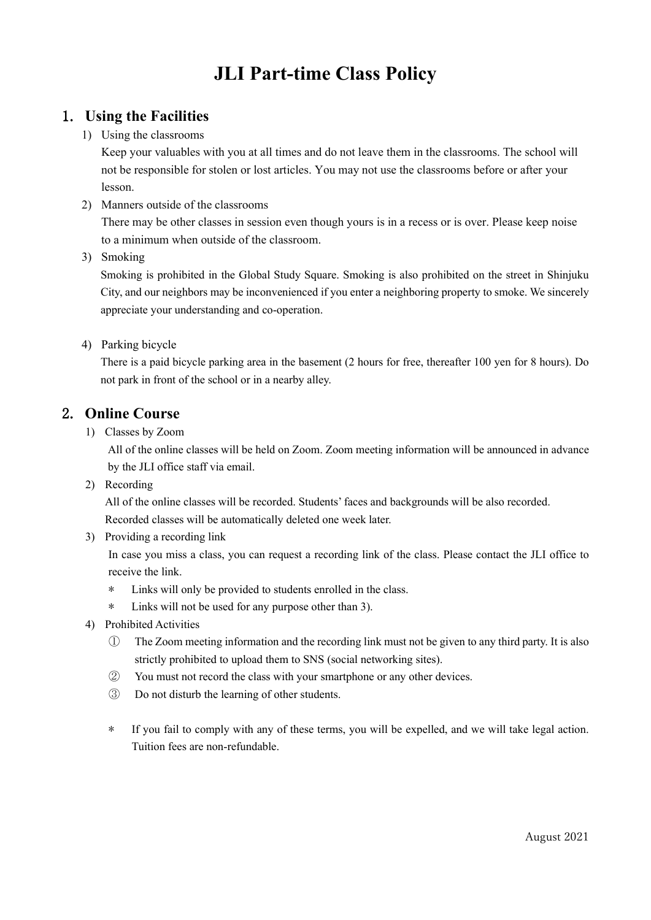# **JLI Part-time Class Policy**

#### 1. **Using the Facilities**

1) Using the classrooms

Keep your valuables with you at all times and do not leave them in the classrooms. The school will not be responsible for stolen or lost articles. You may not use the classrooms before or after your lesson.

- 2) Manners outside of the classrooms There may be other classes in session even though yours is in a recess or is over. Please keep noise to a minimum when outside of the classroom.
- 3) Smoking

Smoking is prohibited in the Global Study Square. Smoking is also prohibited on the street in Shinjuku City, and our neighbors may be inconvenienced if you enter a neighboring property to smoke. We sincerely appreciate your understanding and co-operation.

4) Parking bicycle

There is a paid bicycle parking area in the basement (2 hours for free, thereafter 100 yen for 8 hours). Do not park in front of the school or in a nearby alley.

### 2. **Online Course**

1) Classes by Zoom

All of the online classes will be held on Zoom. Zoom meeting information will be announced in advance by the JLI office staff via email.

2) Recording

All of the online classes will be recorded. Students' faces and backgrounds will be also recorded. Recorded classes will be automatically deleted one week later.

3) Providing a recording link

In case you miss a class, you can request a recording link of the class. Please contact the JLI office to receive the link.

- \* Links will only be provided to students enrolled in the class.
- \* Links will not be used for any purpose other than 3).
- 4) Prohibited Activities
	- ① The Zoom meeting information and the recording link must not be given to any third party. It is also strictly prohibited to upload them to SNS (social networking sites).
	- ② You must not record the class with your smartphone or any other devices.
	- ③ Do not disturb the learning of other students.
	- \* If you fail to comply with any of these terms, you will be expelled, and we will take legal action. Tuition fees are non-refundable.